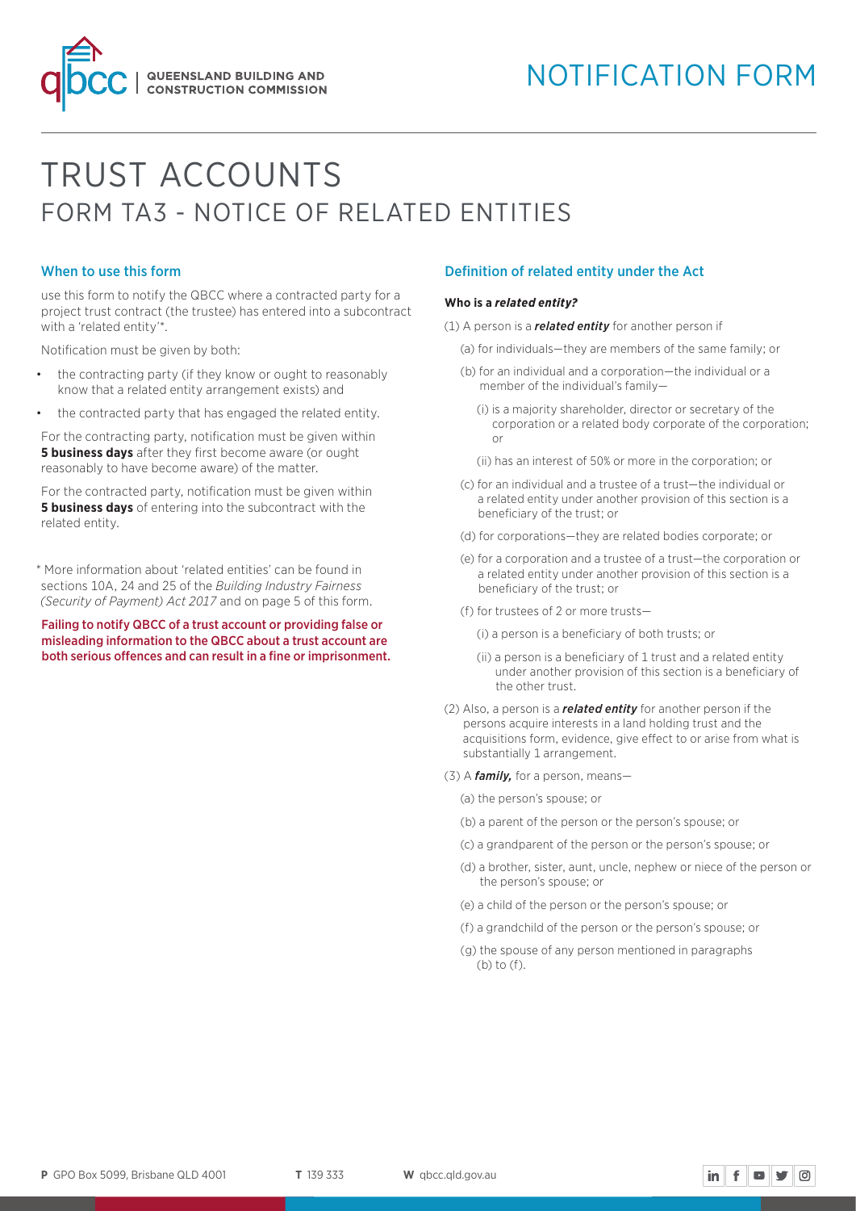# NOTIFICATION FORM

# TRUST ACCOUNTS FORM TA3 - NOTICE OF RELATED ENTITIES

### When to use this form

use this form to notify the QBCC where a contracted party for a project trust contract (the trustee) has entered into a subcontract with a 'related entity'\*.

**QUEENSLAND BUILDING AND CONSTRUCTION COMMISSION** 

Notification must be given by both:

- the contracting party (if they know or ought to reasonably know that a related entity arrangement exists) and
- the contracted party that has engaged the related entity.

For the contracting party, notification must be given within **5 business days** after they first become aware (or ought reasonably to have become aware) of the matter.

For the contracted party, notification must be given within **5 business days** of entering into the subcontract with the related entity.

\* More information about 'related entities' can be found in sections 10A, 24 and 25 of the *Building Industry Fairness (Security of Payment) Act 2017* and on page 5 of this form.

Failing to notify QBCC of a trust account or providing false or misleading information to the QBCC about a trust account are both serious offences and can result in a fine or imprisonment.

### Definition of related entity under the Act

#### **Who is a** *related entity?*

- (1) A person is a *related entity* for another person if
	- (a) for individuals—they are members of the same family; or
	- (b) for an individual and a corporation—the individual or a member of the individual's family—
		- (i) is a majority shareholder, director or secretary of the corporation or a related body corporate of the corporation; or
		- (ii) has an interest of 50% or more in the corporation; or
	- (c) for an individual and a trustee of a trust—the individual or a related entity under another provision of this section is a beneficiary of the trust; or
	- (d) for corporations—they are related bodies corporate; or
	- (e) for a corporation and a trustee of a trust—the corporation or a related entity under another provision of this section is a beneficiary of the trust; or
	- (f) for trustees of 2 or more trusts—
		- (i) a person is a beneficiary of both trusts; or
		- (ii) a person is a beneficiary of 1 trust and a related entity under another provision of this section is a beneficiary of the other trust.
- (2) Also, a person is a *related entity* for another person if the persons acquire interests in a land holding trust and the acquisitions form, evidence, give effect to or arise from what is substantially 1 arrangement.
- (3) A *family,* for a person, means—

(a) the person's spouse; or

- (b) a parent of the person or the person's spouse; or
- (c) a grandparent of the person or the person's spouse; or
- (d) a brother, sister, aunt, uncle, nephew or niece of the person or the person's spouse; or

 $\mathbf{in}$   $\mathbf{f}$   $\mathbf{w}$   $\mathbf{y}$   $\odot$ 

- (e) a child of the person or the person's spouse; or
- (f) a grandchild of the person or the person's spouse; or
- (g) the spouse of any person mentioned in paragraphs (b) to (f).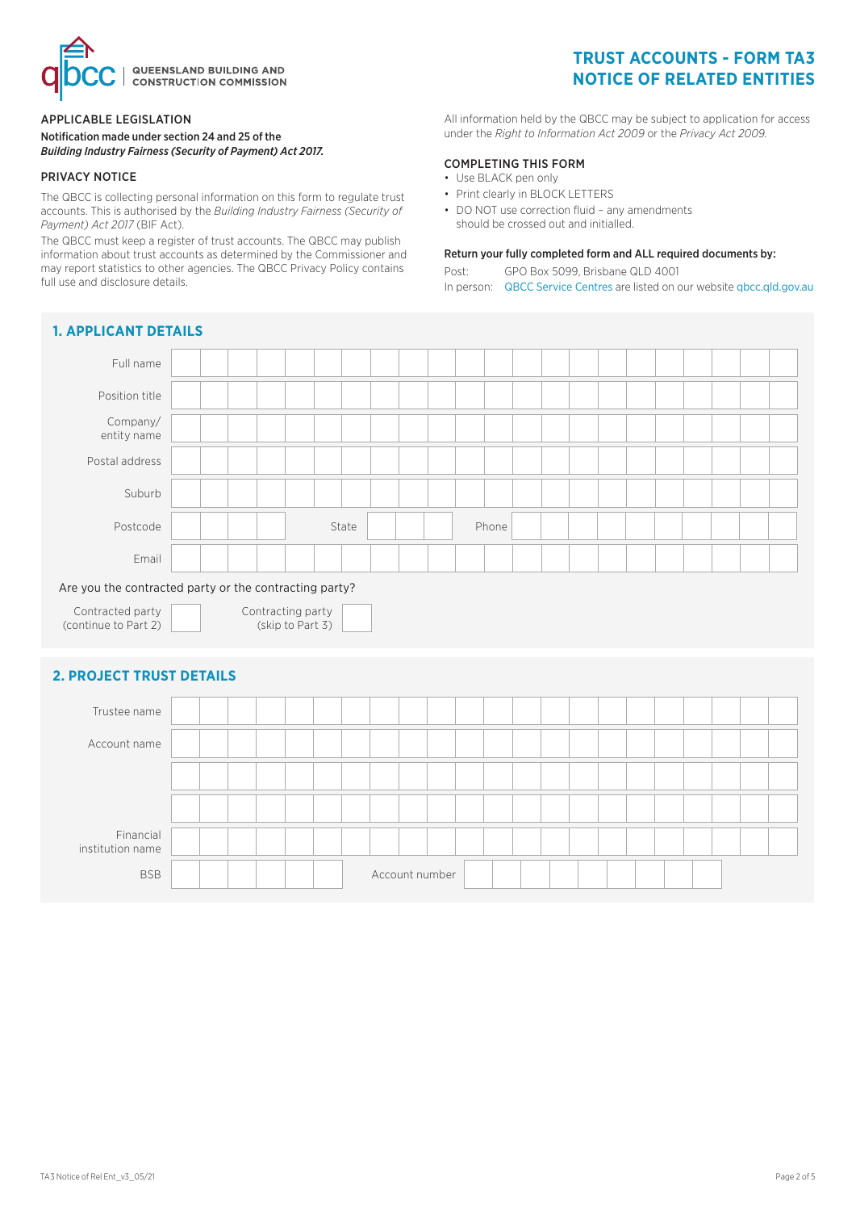

### APPLICABLE LEGISLATION

Notification made under section 24 and 25 of the *Building Industry Fairness (Security of Payment) Act 2017.* 

### PRIVACY NOTICE

The QBCC is collecting personal information on this form to regulate trust accounts. This is authorised by the *Building Industry Fairness (Security of Payment) Act 2017* (BIF Act).

The QBCC must keep a register of trust accounts. The QBCC may publish information about trust accounts as determined by the Commissioner and may report statistics to other agencies. The QBCC Privacy Policy contains full use and disclosure details.

# **1. APPLICANT DETAILS**

# **TRUST ACCOUNTS - FORM TA3 NOTICE OF RELATED ENTITIES**

All information held by the QBCC may be subject to application for access under the *Right to Information Act 2009* or the *Privacy Act 2009.*

### COMPLETING THIS FORM

- Use BLACK pen only
- Print clearly in BLOCK LETTERS
- DO NOT use correction fluid any amendments should be crossed out and initialled.

### Return your fully completed form and ALL required documents by:

Post: GPO Box 5099, Brisbane QLD 4001 In person: [QBCC Service Centres](www.qbcc.qld.gov.au/locate-office) are listed on our website [qbcc.qld.gov.au](http://qbcc.qld.gov.au )

| <b>I. AFFLIGANI DEIAILS</b>                            |  |                                       |       |                |  |       |  |  |  |  |  |
|--------------------------------------------------------|--|---------------------------------------|-------|----------------|--|-------|--|--|--|--|--|
| Full name                                              |  |                                       |       |                |  |       |  |  |  |  |  |
| Position title                                         |  |                                       |       |                |  |       |  |  |  |  |  |
| Company/<br>entity name                                |  |                                       |       |                |  |       |  |  |  |  |  |
| Postal address                                         |  |                                       |       |                |  |       |  |  |  |  |  |
| Suburb                                                 |  |                                       |       |                |  |       |  |  |  |  |  |
| Postcode                                               |  |                                       | State |                |  | Phone |  |  |  |  |  |
| Email                                                  |  |                                       |       |                |  |       |  |  |  |  |  |
| Are you the contracted party or the contracting party? |  |                                       |       |                |  |       |  |  |  |  |  |
| Contracted party<br>(continue to Part 2)               |  | Contracting party<br>(skip to Part 3) |       |                |  |       |  |  |  |  |  |
| <b>2. PROJECT TRUST DETAILS</b>                        |  |                                       |       |                |  |       |  |  |  |  |  |
| Trustee name                                           |  |                                       |       |                |  |       |  |  |  |  |  |
| Account name                                           |  |                                       |       |                |  |       |  |  |  |  |  |
|                                                        |  |                                       |       |                |  |       |  |  |  |  |  |
|                                                        |  |                                       |       |                |  |       |  |  |  |  |  |
| Financial<br>institution name                          |  |                                       |       |                |  |       |  |  |  |  |  |
| <b>BSB</b>                                             |  |                                       |       | Account number |  |       |  |  |  |  |  |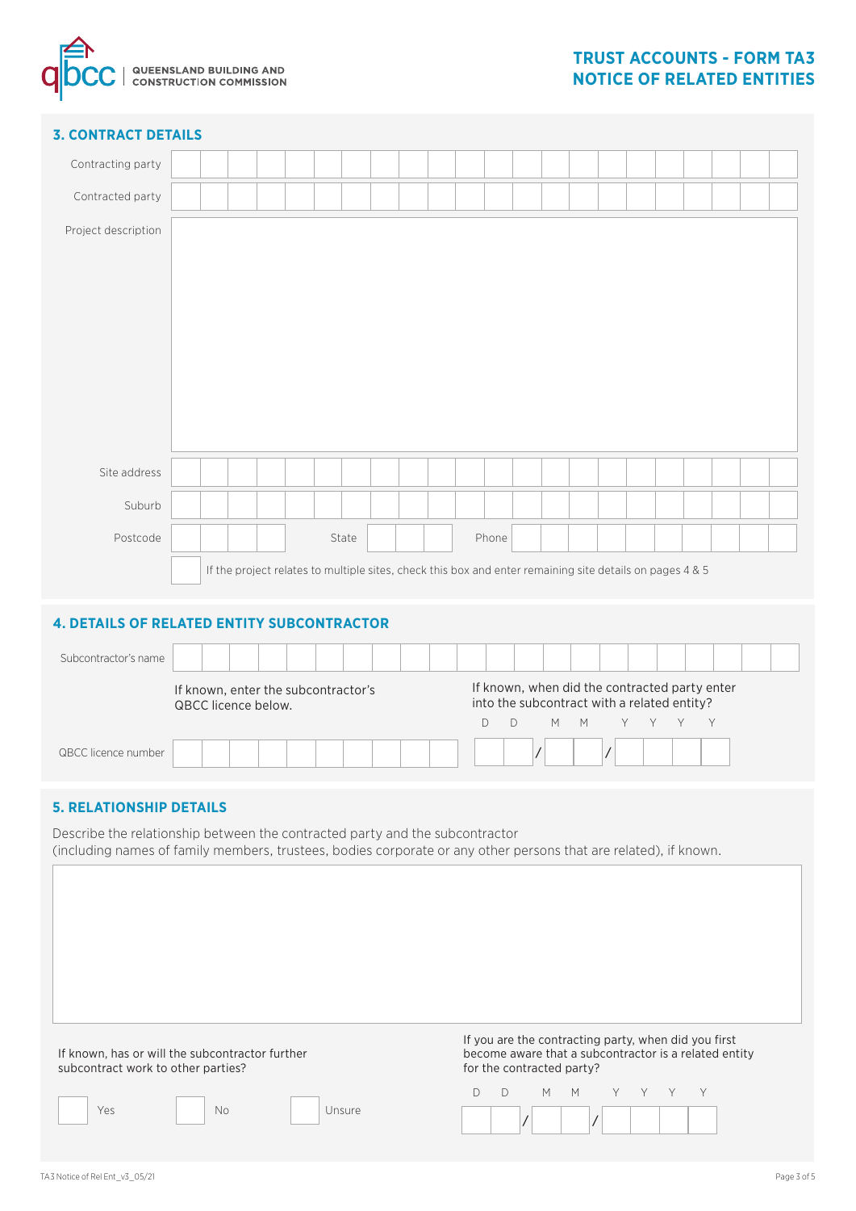

## **3. CONTRACT DETAILS**

| Contracting party                                 |  |                     |                                                                                                          |       |  |  |       |                                                                                              |  |  |  |  |  |
|---------------------------------------------------|--|---------------------|----------------------------------------------------------------------------------------------------------|-------|--|--|-------|----------------------------------------------------------------------------------------------|--|--|--|--|--|
| Contracted party                                  |  |                     |                                                                                                          |       |  |  |       |                                                                                              |  |  |  |  |  |
| Project description                               |  |                     |                                                                                                          |       |  |  |       |                                                                                              |  |  |  |  |  |
|                                                   |  |                     |                                                                                                          |       |  |  |       |                                                                                              |  |  |  |  |  |
|                                                   |  |                     |                                                                                                          |       |  |  |       |                                                                                              |  |  |  |  |  |
|                                                   |  |                     |                                                                                                          |       |  |  |       |                                                                                              |  |  |  |  |  |
|                                                   |  |                     |                                                                                                          |       |  |  |       |                                                                                              |  |  |  |  |  |
|                                                   |  |                     |                                                                                                          |       |  |  |       |                                                                                              |  |  |  |  |  |
|                                                   |  |                     |                                                                                                          |       |  |  |       |                                                                                              |  |  |  |  |  |
| Site address                                      |  |                     |                                                                                                          |       |  |  |       |                                                                                              |  |  |  |  |  |
| Suburb                                            |  |                     |                                                                                                          |       |  |  |       |                                                                                              |  |  |  |  |  |
| Postcode                                          |  |                     |                                                                                                          | State |  |  | Phone |                                                                                              |  |  |  |  |  |
|                                                   |  |                     | If the project relates to multiple sites, check this box and enter remaining site details on pages 4 & 5 |       |  |  |       |                                                                                              |  |  |  |  |  |
|                                                   |  |                     |                                                                                                          |       |  |  |       |                                                                                              |  |  |  |  |  |
| <b>4. DETAILS OF RELATED ENTITY SUBCONTRACTOR</b> |  |                     |                                                                                                          |       |  |  |       |                                                                                              |  |  |  |  |  |
| Subcontractor's name                              |  |                     |                                                                                                          |       |  |  |       |                                                                                              |  |  |  |  |  |
|                                                   |  | QBCC licence below. | If known, enter the subcontractor's                                                                      |       |  |  |       | If known, when did the contracted party enter<br>into the subcontract with a related entity? |  |  |  |  |  |

D D M M Y Y Y Y

/ /

### **5. RELATIONSHIP DETAILS**

QBCC licence number

Describe the relationship between the contracted party and the subcontractor (including names of family members, trustees, bodies corporate or any other persons that are related), if known.

| If known, has or will the subcontractor further<br>subcontract work to other parties? | If you are the contracting party, when did you first<br>become aware that a subcontractor is a related entity<br>for the contracted party? |
|---------------------------------------------------------------------------------------|--------------------------------------------------------------------------------------------------------------------------------------------|
|                                                                                       | MMYY                                                                                                                                       |
| No<br>Yes<br>Unsure                                                                   |                                                                                                                                            |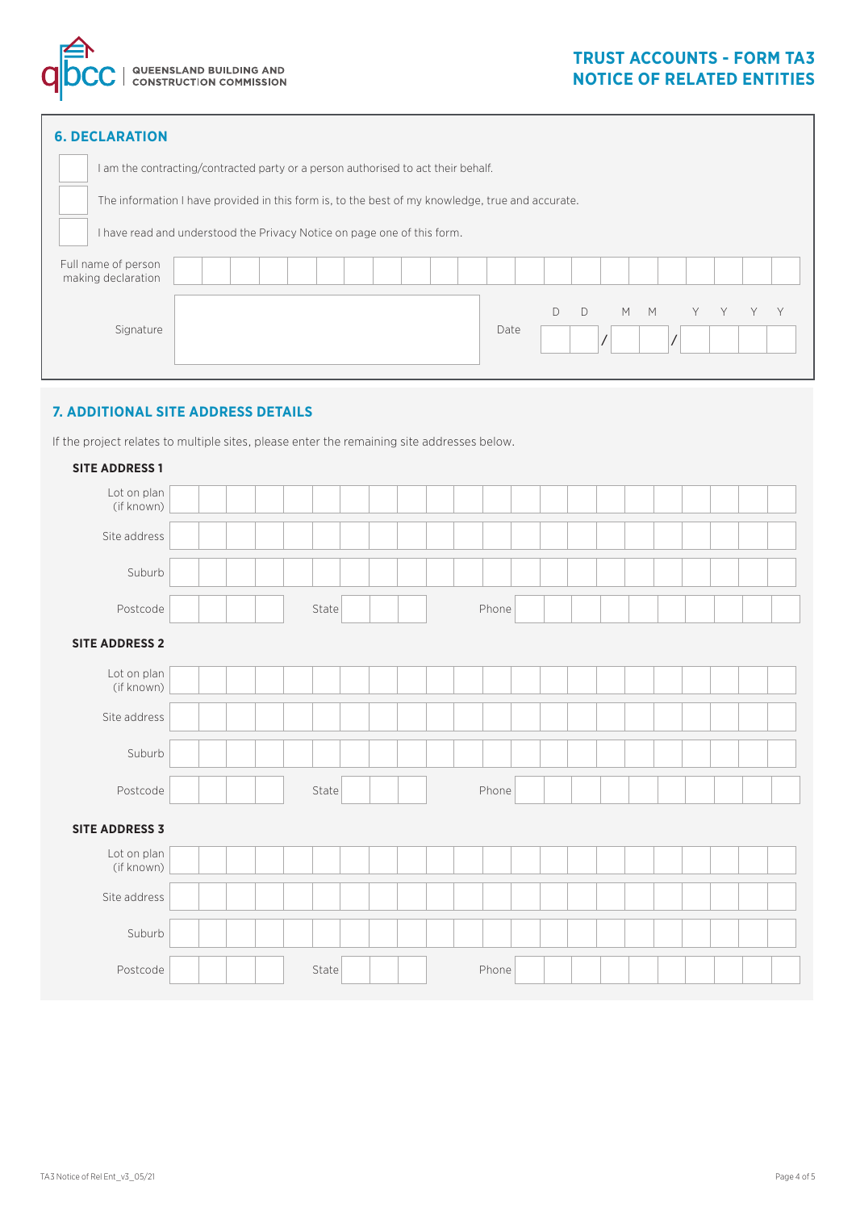

| <b>6. DECLARATION</b>                                                                            |  |  |  |  |      |   |           |     |     |  |  |
|--------------------------------------------------------------------------------------------------|--|--|--|--|------|---|-----------|-----|-----|--|--|
| I am the contracting/contracted party or a person authorised to act their behalf.                |  |  |  |  |      |   |           |     |     |  |  |
| The information I have provided in this form is, to the best of my knowledge, true and accurate. |  |  |  |  |      |   |           |     |     |  |  |
| I have read and understood the Privacy Notice on page one of this form.                          |  |  |  |  |      |   |           |     |     |  |  |
| Full name of person<br>making declaration                                                        |  |  |  |  |      |   |           |     |     |  |  |
|                                                                                                  |  |  |  |  |      | D | $\bigcap$ | M M | Y - |  |  |
| Signature                                                                                        |  |  |  |  | Date |   |           |     |     |  |  |
|                                                                                                  |  |  |  |  |      |   |           |     |     |  |  |

# **7. ADDITIONAL SITE ADDRESS DETAILS**

If the project relates to multiple sites, please enter the remaining site addresses below.

| <b>SITE ADDRESS 1</b>     |  |       |  |       |  |  |  |  |  |
|---------------------------|--|-------|--|-------|--|--|--|--|--|
| Lot on plan<br>(if known) |  |       |  |       |  |  |  |  |  |
| Site address              |  |       |  |       |  |  |  |  |  |
| Suburb                    |  |       |  |       |  |  |  |  |  |
| Postcode                  |  | State |  | Phone |  |  |  |  |  |
| <b>SITE ADDRESS 2</b>     |  |       |  |       |  |  |  |  |  |
| Lot on plan<br>(if known) |  |       |  |       |  |  |  |  |  |
| Site address              |  |       |  |       |  |  |  |  |  |
| Suburb                    |  |       |  |       |  |  |  |  |  |
| Postcode                  |  | State |  | Phone |  |  |  |  |  |
| <b>SITE ADDRESS 3</b>     |  |       |  |       |  |  |  |  |  |
| Lot on plan<br>(if known) |  |       |  |       |  |  |  |  |  |
| Site address              |  |       |  |       |  |  |  |  |  |
| Suburb                    |  |       |  |       |  |  |  |  |  |
| Postcode                  |  | State |  | Phone |  |  |  |  |  |